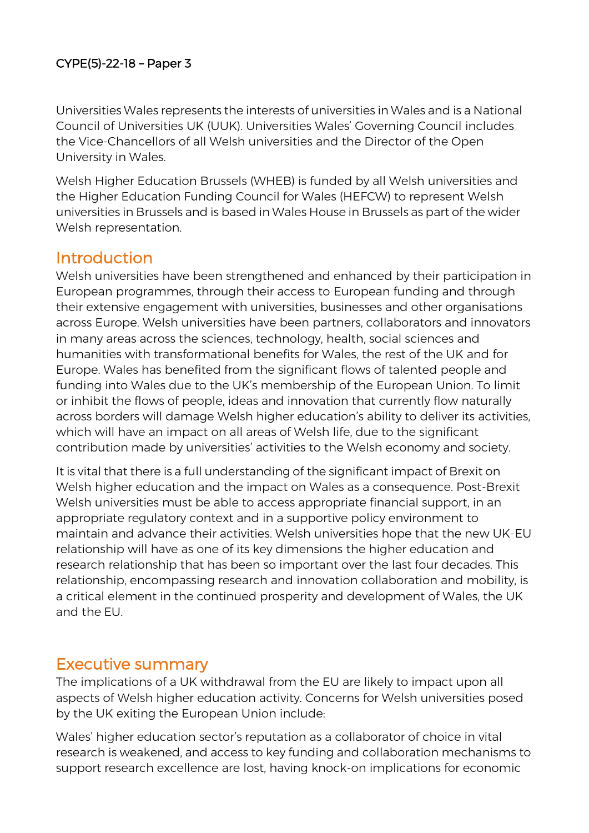#### CYPE(5)-22-18 – Paper 3

Universities Wales represents the interests of universities in Wales and is a National Council of Universities UK (UUK). Universities Wales' Governing Council includes the Vice-Chancellors of all Welsh universities and the Director of the Open University in Wales.

Welsh Higher Education Brussels (WHEB) is funded by all Welsh universities and the Higher Education Funding Council for Wales (HEFCW) to represent Welsh universities in Brussels and is based in Wales House in Brussels as part of the wider Welsh representation.

### Introduction

Welsh universities have been strengthened and enhanced by their participation in European programmes, through their access to European funding and through their extensive engagement with universities, businesses and other organisations across Europe. Welsh universities have been partners, collaborators and innovators in many areas across the sciences, technology, health, social sciences and humanities with transformational benefits for Wales, the rest of the UK and for Europe. Wales has benefited from the significant flows of talented people and funding into Wales due to the UK's membership of the European Union. To limit or inhibit the flows of people, ideas and innovation that currently flow naturally across borders will damage Welsh higher education's ability to deliver its activities, which will have an impact on all areas of Welsh life, due to the significant contribution made by universities' activities to the Welsh economy and society.

It is vital that there is a full understanding of the significant impact of Brexit on Welsh higher education and the impact on Wales as a consequence. Post-Brexit Welsh universities must be able to access appropriate financial support, in an appropriate regulatory context and in a supportive policy environment to maintain and advance their activities. Welsh universities hope that the new UK-EU relationship will have as one of its key dimensions the higher education and research relationship that has been so important over the last four decades. This relationship, encompassing research and innovation collaboration and mobility, is a critical element in the continued prosperity and development of Wales, the UK and the EU.

### Executive summary

The implications of a UK withdrawal from the EU are likely to impact upon all aspects of Welsh higher education activity. Concerns for Welsh universities posed by the UK exiting the European Union include:

Wales' higher education sector's reputation as a collaborator of choice in vital research is weakened, and access to key funding and collaboration mechanisms to support research excellence are lost, having knock-on implications for economic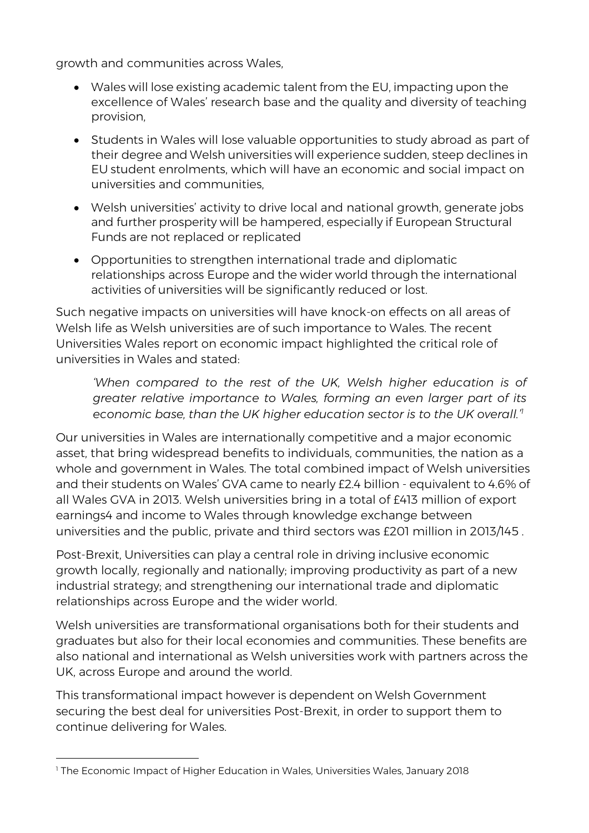growth and communities across Wales,

- Wales will lose existing academic talent from the EU, impacting upon the excellence of Wales' research base and the quality and diversity of teaching provision,
- Students in Wales will lose valuable opportunities to study abroad as part of their degree and Welsh universities will experience sudden, steep declines in EU student enrolments, which will have an economic and social impact on universities and communities,
- Welsh universities' activity to drive local and national growth, generate jobs and further prosperity will be hampered, especially if European Structural Funds are not replaced or replicated
- Opportunities to strengthen international trade and diplomatic relationships across Europe and the wider world through the international activities of universities will be significantly reduced or lost.

Such negative impacts on universities will have knock-on effects on all areas of Welsh life as Welsh universities are of such importance to Wales. The recent Universities Wales report on economic impact highlighted the critical role of universities in Wales and stated:

*'When compared to the rest of the UK, Welsh higher education is of greater relative importance to Wales, forming an even larger part of its economic base, than the UK higher education sector is to the UK overall.'<sup>1</sup>*

Our universities in Wales are internationally competitive and a major economic asset, that bring widespread benefits to individuals, communities, the nation as a whole and government in Wales. The total combined impact of Welsh universities and their students on Wales' GVA came to nearly £2.4 billion - equivalent to 4.6% of all Wales GVA in 2013. Welsh universities bring in a total of £413 million of export earnings4 and income to Wales through knowledge exchange between universities and the public, private and third sectors was £201 million in 2013/145 .

Post-Brexit, Universities can play a central role in driving inclusive economic growth locally, regionally and nationally; improving productivity as part of a new industrial strategy; and strengthening our international trade and diplomatic relationships across Europe and the wider world.

Welsh universities are transformational organisations both for their students and graduates but also for their local economies and communities. These benefits are also national and international as Welsh universities work with partners across the UK, across Europe and around the world.

This transformational impact however is dependent on Welsh Government securing the best deal for universities Post-Brexit, in order to support them to continue delivering for Wales.

 $\overline{a}$ <sup>1</sup> The Economic Impact of Higher Education in Wales, Universities Wales, January 2018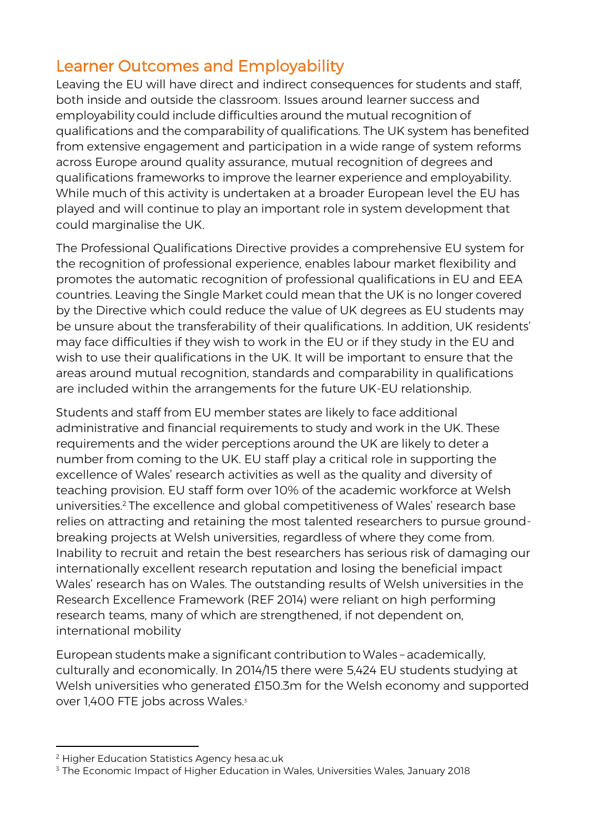# Learner Outcomes and Employability

Leaving the EU will have direct and indirect consequences for students and staff, both inside and outside the classroom. Issues around learner success and employability could include difficulties around the mutual recognition of qualifications and the comparability of qualifications. The UK system has benefited from extensive engagement and participation in a wide range of system reforms across Europe around quality assurance, mutual recognition of degrees and qualifications frameworks to improve the learner experience and employability. While much of this activity is undertaken at a broader European level the EU has played and will continue to play an important role in system development that could marginalise the UK.

The Professional Qualifications Directive provides a comprehensive EU system for the recognition of professional experience, enables labour market flexibility and promotes the automatic recognition of professional qualifications in EU and EEA countries. Leaving the Single Market could mean that the UK is no longer covered by the Directive which could reduce the value of UK degrees as EU students may be unsure about the transferability of their qualifications. In addition, UK residents' may face difficulties if they wish to work in the EU or if they study in the EU and wish to use their qualifications in the UK. It will be important to ensure that the areas around mutual recognition, standards and comparability in qualifications are included within the arrangements for the future UK-EU relationship.

Students and staff from EU member states are likely to face additional administrative and financial requirements to study and work in the UK. These requirements and the wider perceptions around the UK are likely to deter a number from coming to the UK. EU staff play a critical role in supporting the excellence of Wales' research activities as well as the quality and diversity of teaching provision. EU staff form over 10% of the academic workforce at Welsh universities.<sup>2</sup> The excellence and global competitiveness of Wales' research base relies on attracting and retaining the most talented researchers to pursue groundbreaking projects at Welsh universities, regardless of where they come from. Inability to recruit and retain the best researchers has serious risk of damaging our internationally excellent research reputation and losing the beneficial impact Wales' research has on Wales. The outstanding results of Welsh universities in the Research Excellence Framework (REF 2014) were reliant on high performing research teams, many of which are strengthened, if not dependent on, international mobility

European students make a significant contribution to Wales – academically, culturally and economically. In 2014/15 there were 5,424 EU students studying at Welsh universities who generated £150.3m for the Welsh economy and supported over 1,400 FTE jobs across Wales.<sup>3</sup>

<sup>2</sup> Higher Education Statistics Agency hesa.ac.uk

<sup>&</sup>lt;sup>3</sup> The Economic Impact of Higher Education in Wales, Universities Wales, January 2018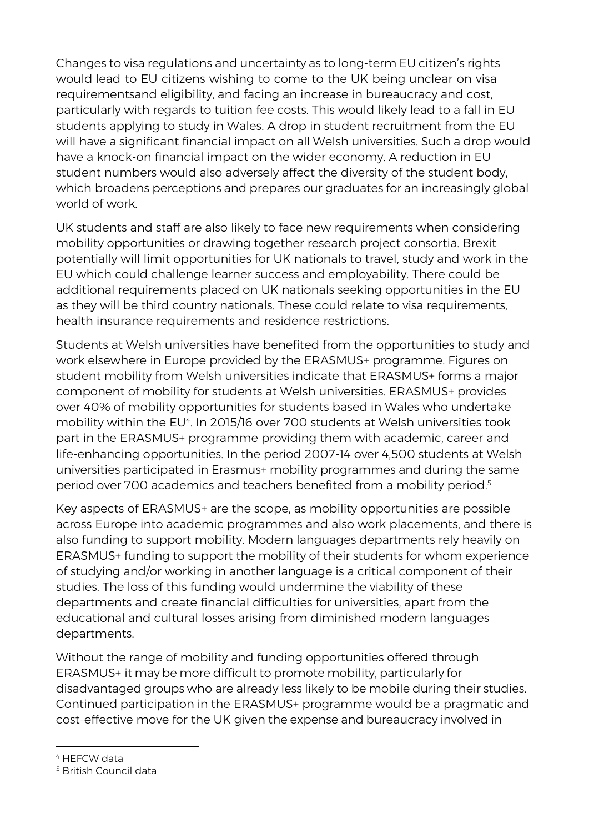Changes to visa regulations and uncertainty as to long-term EU citizen's rights would lead to EU citizens wishing to come to the UK being unclear on visa requirementsand eligibility, and facing an increase in bureaucracy and cost, particularly with regards to tuition fee costs. This would likely lead to a fall in EU students applying to study in Wales. A drop in student recruitment from the EU will have a significant financial impact on all Welsh universities. Such a drop would have a knock-on financial impact on the wider economy. A reduction in EU student numbers would also adversely affect the diversity of the student body, which broadens perceptions and prepares our graduates for an increasingly global world of work.

UK students and staff are also likely to face new requirements when considering mobility opportunities or drawing together research project consortia. Brexit potentially will limit opportunities for UK nationals to travel, study and work in the EU which could challenge learner success and employability. There could be additional requirements placed on UK nationals seeking opportunities in the EU as they will be third country nationals. These could relate to visa requirements, health insurance requirements and residence restrictions.

Students at Welsh universities have benefited from the opportunities to study and work elsewhere in Europe provided by the ERASMUS+ programme. Figures on student mobility from Welsh universities indicate that ERASMUS+ forms a major component of mobility for students at Welsh universities. ERASMUS+ provides over 40% of mobility opportunities for students based in Wales who undertake mobility within the EU4. In 2015/16 over 700 students at Welsh universities took part in the ERASMUS+ programme providing them with academic, career and life-enhancing opportunities. In the period 2007-14 over 4,500 students at Welsh universities participated in Erasmus+ mobility programmes and during the same period over 700 academics and teachers benefited from a mobility period.<sup>5</sup>

Key aspects of ERASMUS+ are the scope, as mobility opportunities are possible across Europe into academic programmes and also work placements, and there is also funding to support mobility. Modern languages departments rely heavily on ERASMUS+ funding to support the mobility of their students for whom experience of studying and/or working in another language is a critical component of their studies. The loss of this funding would undermine the viability of these departments and create financial difficulties for universities, apart from the educational and cultural losses arising from diminished modern languages departments.

Without the range of mobility and funding opportunities offered through ERASMUS+ it may be more difficult to promote mobility, particularly for disadvantaged groups who are already less likely to be mobile during their studies. Continued participation in the ERASMUS+ programme would be a pragmatic and cost-effective move for the UK given the expense and bureaucracy involved in

<sup>4</sup> HEFCW data

<sup>5</sup> British Council data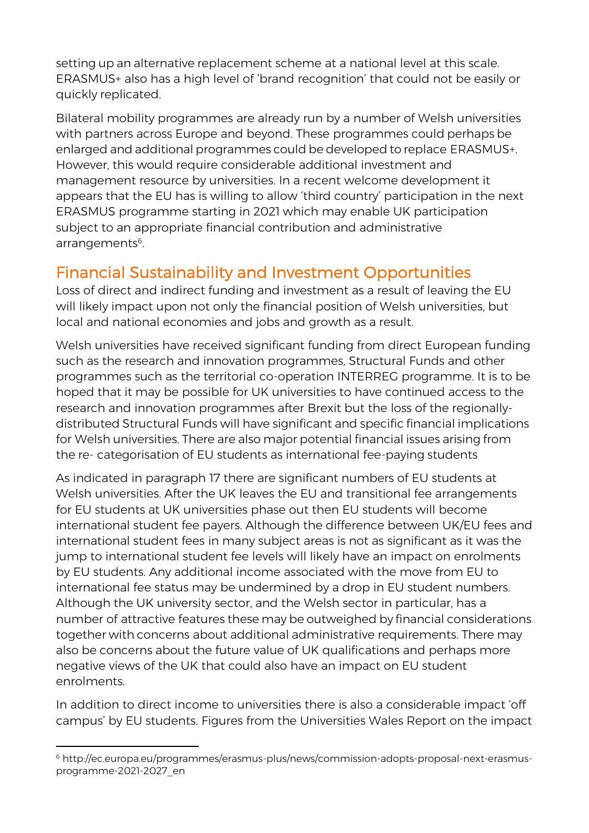setting up an alternative replacement scheme at a national level at this scale. ERASMUS+ also has a high level of 'brand recognition' that could not be easily or quickly replicated.

Bilateral mobility programmes are already run by a number of Welsh universities with partners across Europe and beyond. These programmes could perhaps be enlarged and additional programmes could be developed to replace ERASMUS+. However, this would require considerable additional investment and management resource by universities. In a recent welcome development it appears that the EU has is willing to allow 'third country' participation in the next ERASMUS programme starting in 2021 which may enable UK participation subject to an appropriate financial contribution and administrative arrangements<sup>6</sup>. .

# Financial Sustainability and Investment Opportunities

Loss of direct and indirect funding and investment as a result of leaving the EU will likely impact upon not only the financial position of Welsh universities, but local and national economies and jobs and growth as a result.

Welsh universities have received significant funding from direct European funding such as the research and innovation programmes, Structural Funds and other programmes such as the territorial co-operation INTERREG programme. It is to be hoped that it may be possible for UK universities to have continued access to the research and innovation programmes after Brexit but the loss of the regionallydistributed Structural Funds will have significant and specific financial implications for Welsh universities. There are also major potential financial issues arising from the re- categorisation of EU students as international fee-paying students

As indicated in paragraph 17 there are significant numbers of EU students at Welsh universities. After the UK leaves the EU and transitional fee arrangements for EU students at UK universities phase out then EU students will become international student fee payers. Although the difference between UK/EU fees and international student fees in many subject areas is not as significant as it was the jump to international student fee levels will likely have an impact on enrolments by EU students. Any additional income associated with the move from EU to international fee status may be undermined by a drop in EU student numbers. Although the UK university sector, and the Welsh sector in particular, has a number of attractive features these may be outweighed by financial considerations together with concerns about additional administrative requirements. There may also be concerns about the future value of UK qualifications and perhaps more negative views of the UK that could also have an impact on EU student enrolments.

In addition to direct income to universities there is also a considerable impact 'off campus' by EU students. Figures from the Universities Wales Report on the impact

 $\overline{a}$ <sup>6</sup> [http://ec.europa.eu/programmes/erasmus-plus/news/commission-adopts-proposal-next-erasmus](http://ec.europa.eu/programmes/erasmus-plus/news/commission-adopts-proposal-next-erasmus-programme-2021-2027_en)[programme-2021-2027\\_en](http://ec.europa.eu/programmes/erasmus-plus/news/commission-adopts-proposal-next-erasmus-programme-2021-2027_en)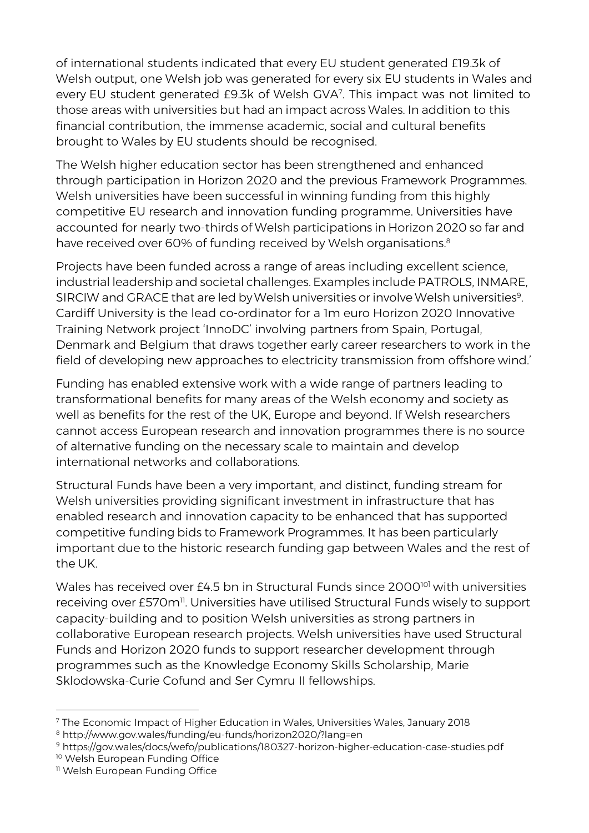of international students indicated that every EU student generated £19.3k of Welsh output, one Welsh job was generated for every six EU students in Wales and every EU student generated £9.3k of Welsh GVA<sup>7</sup> . This impact was not limited to those areas with universities but had an impact across Wales. In addition to this financial contribution, the immense academic, social and cultural benefits brought to Wales by EU students should be recognised.

The Welsh higher education sector has been strengthened and enhanced through participation in Horizon 2020 and the previous Framework Programmes. Welsh universities have been successful in winning funding from this highly competitive EU research and innovation funding programme. Universities have accounted for nearly two-thirds of Welsh participations in Horizon 2020 so far and have received over 60% of funding received by Welsh organisations.<sup>8</sup>

Projects have been funded across a range of areas including excellent science, industrial leadership and societal challenges. Examples include PATROLS, INMARE, SIRCIW and GRACE that are led by Welsh universities or involve Welsh universities $^{\rm 9}$ . Cardiff University is the lead co-ordinator for a 1m euro Horizon 2020 Innovative Training Network project 'InnoDC' involving partners from Spain, Portugal, Denmark and Belgium that draws together early career researchers to work in the field of developing new approaches to electricity transmission from offshore wind.'

Funding has enabled extensive work with a wide range of partners leading to transformational benefits for many areas of the Welsh economy and society as well as benefits for the rest of the UK, Europe and beyond. If Welsh researchers cannot access European research and innovation programmes there is no source of alternative funding on the necessary scale to maintain and develop international networks and collaborations.

Structural Funds have been a very important, and distinct, funding stream for Welsh universities providing significant investment in infrastructure that has enabled research and innovation capacity to be enhanced that has supported competitive funding bids to Framework Programmes. It has been particularly important due to the historic research funding gap between Wales and the rest of the UK.

Wales has received over £4.5 bn in Structural Funds since 2000<sup>101</sup> with universities receiving over £570m<sup>11</sup>. Universities have utilised Structural Funds wisely to support capacity-building and to position Welsh universities as strong partners in collaborative European research projects. Welsh universities have used Structural Funds and Horizon 2020 funds to support researcher development through programmes such as the Knowledge Economy Skills Scholarship, Marie Sklodowska-Curie Cofund and Ser Cymru II fellowships.

<sup>7</sup> The Economic Impact of Higher Education in Wales, Universities Wales, January 2018

<sup>8</sup> <http://www.gov.wales/funding/eu-funds/horizon2020/?lang=en>

<sup>9</sup> https://gov.wales/docs/wefo/publications/180327-horizon-higher-education-case-studies.pdf

<sup>&</sup>lt;sup>10</sup> Welsh European Funding Office

<sup>&</sup>lt;sup>11</sup> Welsh European Funding Office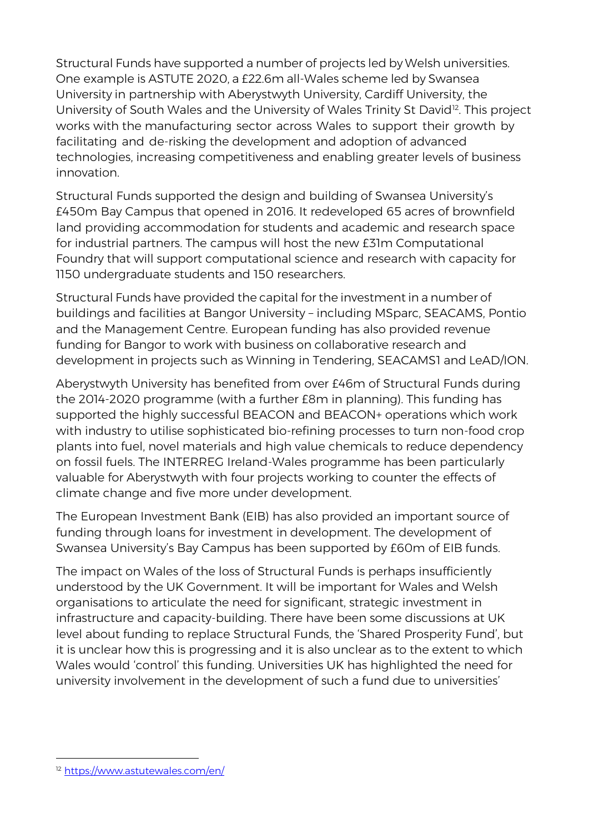Structural Funds have supported a number of projects led by Welsh universities. One example is ASTUTE 2020, a £22.6m all-Wales scheme led by Swansea University in partnership with Aberystwyth University, Cardiff University, the University of South Wales and the University of Wales Trinity St David<sup>12</sup>. This project works with the manufacturing sector across Wales to support their growth by facilitating and de-risking the development and adoption of advanced technologies, increasing competitiveness and enabling greater levels of business innovation.

Structural Funds supported the design and building of Swansea University's £450m Bay Campus that opened in 2016. It redeveloped 65 acres of brownfield land providing accommodation for students and academic and research space for industrial partners. The campus will host the new £31m Computational Foundry that will support computational science and research with capacity for 1150 undergraduate students and 150 researchers.

Structural Funds have provided the capital for the investment in a number of buildings and facilities at Bangor University – including MSparc, SEACAMS, Pontio and the Management Centre. European funding has also provided revenue funding for Bangor to work with business on collaborative research and development in projects such as Winning in Tendering, SEACAMS1 and LeAD/ION.

Aberystwyth University has benefited from over £46m of Structural Funds during the 2014-2020 programme (with a further £8m in planning). This funding has supported the highly successful BEACON and BEACON+ operations which work with industry to utilise sophisticated bio-refining processes to turn non-food crop plants into fuel, novel materials and high value chemicals to reduce dependency on fossil fuels. The INTERREG Ireland-Wales programme has been particularly valuable for Aberystwyth with four projects working to counter the effects of climate change and five more under development.

The European Investment Bank (EIB) has also provided an important source of funding through loans for investment in development. The development of Swansea University's Bay Campus has been supported by £60m of EIB funds.

The impact on Wales of the loss of Structural Funds is perhaps insufficiently understood by the UK Government. It will be important for Wales and Welsh organisations to articulate the need for significant, strategic investment in infrastructure and capacity-building. There have been some discussions at UK level about funding to replace Structural Funds, the 'Shared Prosperity Fund', but it is unclear how this is progressing and it is also unclear as to the extent to which Wales would 'control' this funding. Universities UK has highlighted the need for university involvement in the development of such a fund due to universities'

 $\overline{a}$ <sup>12</sup> <https://www.astutewales.com/en/>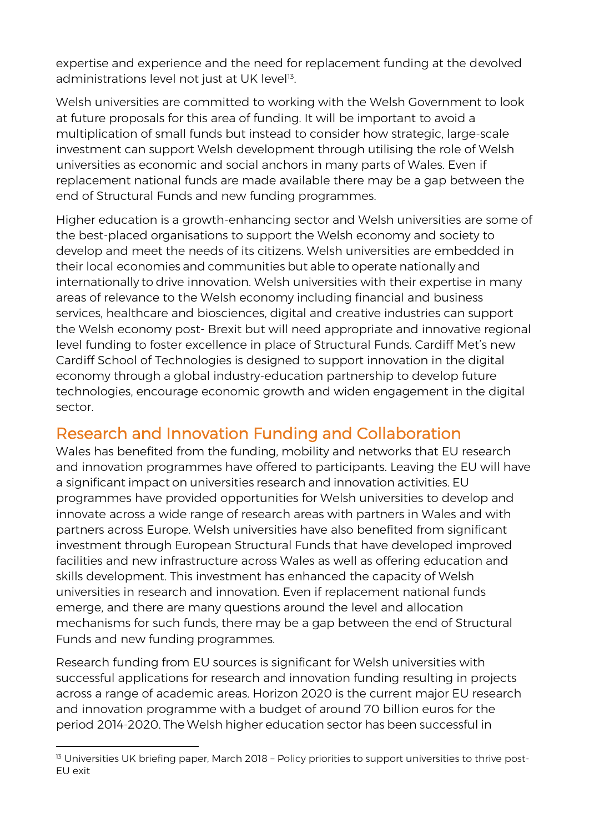expertise and experience and the need for replacement funding at the devolved administrations level not just at UK level<sup>13</sup>. .

Welsh universities are committed to working with the Welsh Government to look at future proposals for this area of funding. It will be important to avoid a multiplication of small funds but instead to consider how strategic, large-scale investment can support Welsh development through utilising the role of Welsh universities as economic and social anchors in many parts of Wales. Even if replacement national funds are made available there may be a gap between the end of Structural Funds and new funding programmes.

Higher education is a growth-enhancing sector and Welsh universities are some of the best-placed organisations to support the Welsh economy and society to develop and meet the needs of its citizens. Welsh universities are embedded in their local economies and communities but able to operate nationally and internationally to drive innovation. Welsh universities with their expertise in many areas of relevance to the Welsh economy including financial and business services, healthcare and biosciences, digital and creative industries can support the Welsh economy post- Brexit but will need appropriate and innovative regional level funding to foster excellence in place of Structural Funds. Cardiff Met's new Cardiff School of Technologies is designed to support innovation in the digital economy through a global industry-education partnership to develop future technologies, encourage economic growth and widen engagement in the digital sector.

## Research and Innovation Funding and Collaboration

Wales has benefited from the funding, mobility and networks that EU research and innovation programmes have offered to participants. Leaving the EU will have a significant impact on universities research and innovation activities. EU programmes have provided opportunities for Welsh universities to develop and innovate across a wide range of research areas with partners in Wales and with partners across Europe. Welsh universities have also benefited from significant investment through European Structural Funds that have developed improved facilities and new infrastructure across Wales as well as offering education and skills development. This investment has enhanced the capacity of Welsh universities in research and innovation. Even if replacement national funds emerge, and there are many questions around the level and allocation mechanisms for such funds, there may be a gap between the end of Structural Funds and new funding programmes.

Research funding from EU sources is significant for Welsh universities with successful applications for research and innovation funding resulting in projects across a range of academic areas. Horizon 2020 is the current major EU research and innovation programme with a budget of around 70 billion euros for the period 2014-2020. The Welsh higher education sector has been successful in

<sup>&</sup>lt;sup>13</sup> Universities UK briefing paper, March 2018 - Policy priorities to support universities to thrive post-EU exit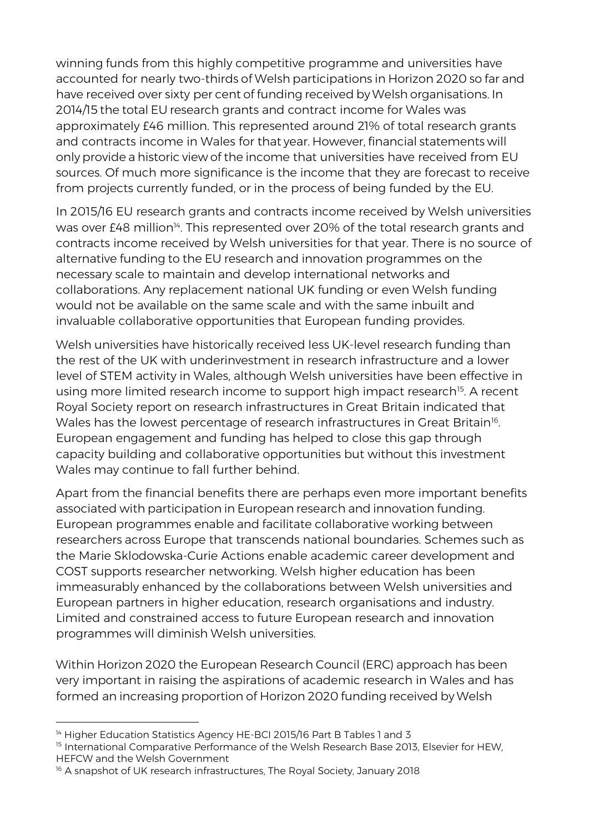winning funds from this highly competitive programme and universities have accounted for nearly two-thirds of Welsh participations in Horizon 2020 so far and have received over sixty per cent of funding received by Welsh organisations. In 2014/15 the total EU research grants and contract income for Wales was approximately £46 million. This represented around 21% of total research grants and contracts income in Wales for that year. However, financial statements will only provide a historic view of the income that universities have received from EU sources. Of much more significance is the income that they are forecast to receive from projects currently funded, or in the process of being funded by the EU.

In 2015/16 EU research grants and contracts income received by Welsh universities was over £48 million<sup>14</sup>. This represented over 20% of the total research grants and contracts income received by Welsh universities for that year. There is no source of alternative funding to the EU research and innovation programmes on the necessary scale to maintain and develop international networks and collaborations. Any replacement national UK funding or even Welsh funding would not be available on the same scale and with the same inbuilt and invaluable collaborative opportunities that European funding provides.

Welsh universities have historically received less UK-level research funding than the rest of the UK with underinvestment in research infrastructure and a lower level of STEM activity in Wales, although Welsh universities have been effective in using more limited research income to support high impact research<sup>15</sup>. A recent Royal Society report on research infrastructures in Great Britain indicated that Wales has the lowest percentage of research infrastructures in Great Britain $^{\text{16}}$ . European engagement and funding has helped to close this gap through capacity building and collaborative opportunities but without this investment Wales may continue to fall further behind.

Apart from the financial benefits there are perhaps even more important benefits associated with participation in European research and innovation funding. European programmes enable and facilitate collaborative working between researchers across Europe that transcends national boundaries. Schemes such as the Marie Sklodowska-Curie Actions enable academic career development and COST supports researcher networking. Welsh higher education has been immeasurably enhanced by the collaborations between Welsh universities and European partners in higher education, research organisations and industry. Limited and constrained access to future European research and innovation programmes will diminish Welsh universities.

Within Horizon 2020 the European Research Council (ERC) approach has been very important in raising the aspirations of academic research in Wales and has formed an increasing proportion of Horizon 2020 funding received by Welsh

 $\overline{a}$ <sup>14</sup> Higher Education Statistics Agency HE-BCI 2015/16 Part B Tables 1 and 3

<sup>&</sup>lt;sup>15</sup> International Comparative Performance of the Welsh Research Base 2013, Elsevier for HEW, HEFCW and the Welsh Government

<sup>&</sup>lt;sup>16</sup> A snapshot of UK research infrastructures, The Royal Society, January 2018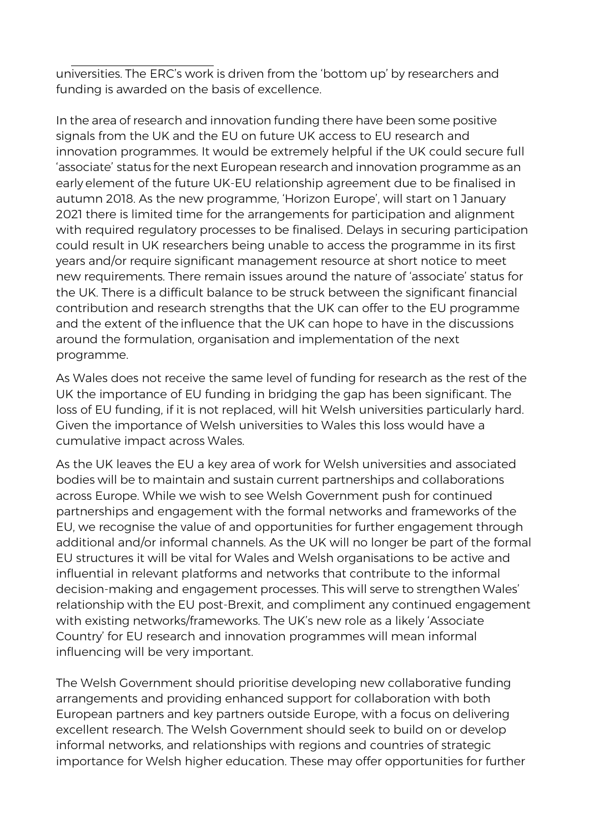universities. The ERC's work is driven from the 'bottom up' by researchers and funding is awarded on the basis of excellence.

In the area of research and innovation funding there have been some positive signals from the UK and the EU on future UK access to EU research and innovation programmes. It would be extremely helpful if the UK could secure full 'associate' status forthe next European research and innovation programme as an early element of the future UK-EU relationship agreement due to be finalised in autumn 2018. As the new programme, 'Horizon Europe', will start on 1 January 2021 there is limited time for the arrangements for participation and alignment with required regulatory processes to be finalised. Delays in securing participation could result in UK researchers being unable to access the programme in its first years and/or require significant management resource at short notice to meet new requirements. There remain issues around the nature of 'associate' status for the UK. There is a difficult balance to be struck between the significant financial contribution and research strengths that the UK can offer to the EU programme and the extent of the influence that the UK can hope to have in the discussions around the formulation, organisation and implementation of the next programme.

As Wales does not receive the same level of funding for research as the rest of the UK the importance of EU funding in bridging the gap has been significant. The loss of EU funding, if it is not replaced, will hit Welsh universities particularly hard. Given the importance of Welsh universities to Wales this loss would have a cumulative impact across Wales.

As the UK leaves the EU a key area of work for Welsh universities and associated bodies will be to maintain and sustain current partnerships and collaborations across Europe. While we wish to see Welsh Government push for continued partnerships and engagement with the formal networks and frameworks of the EU, we recognise the value of and opportunities for further engagement through additional and/or informal channels. As the UK will no longer be part of the formal EU structures it will be vital for Wales and Welsh organisations to be active and influential in relevant platforms and networks that contribute to the informal decision-making and engagement processes. This will serve to strengthen Wales' relationship with the EU post-Brexit, and compliment any continued engagement with existing networks/frameworks. The UK's new role as a likely 'Associate Country' for EU research and innovation programmes will mean informal influencing will be very important.

The Welsh Government should prioritise developing new collaborative funding arrangements and providing enhanced support for collaboration with both European partners and key partners outside Europe, with a focus on delivering excellent research. The Welsh Government should seek to build on or develop informal networks, and relationships with regions and countries of strategic importance for Welsh higher education. These may offer opportunities for further